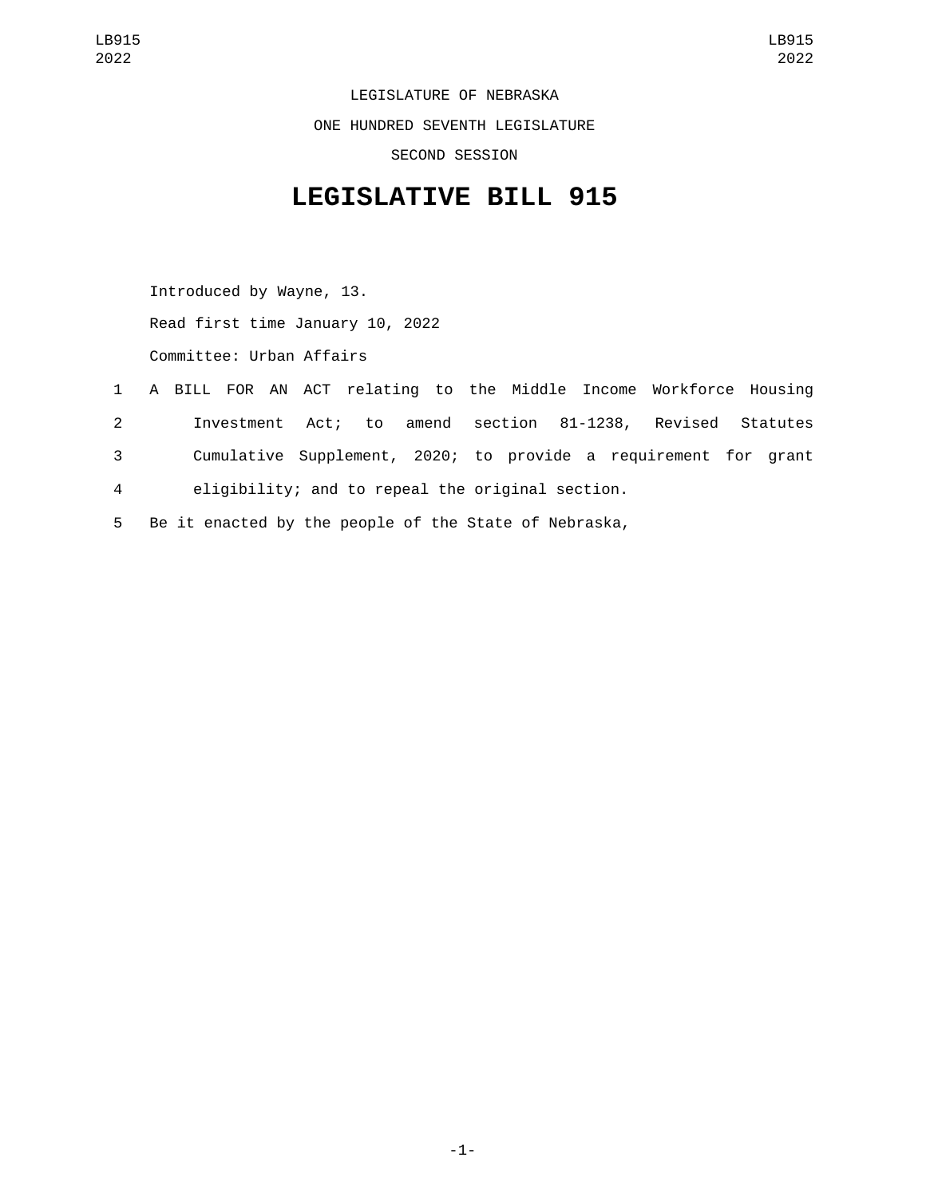LEGISLATURE OF NEBRASKA ONE HUNDRED SEVENTH LEGISLATURE SECOND SESSION

## **LEGISLATIVE BILL 915**

Introduced by Wayne, 13. Read first time January 10, 2022 Committee: Urban Affairs

- 1 A BILL FOR AN ACT relating to the Middle Income Workforce Housing 2 Investment Act; to amend section 81-1238, Revised Statutes 3 Cumulative Supplement, 2020; to provide a requirement for grant 4 eligibility; and to repeal the original section.
- 5 Be it enacted by the people of the State of Nebraska,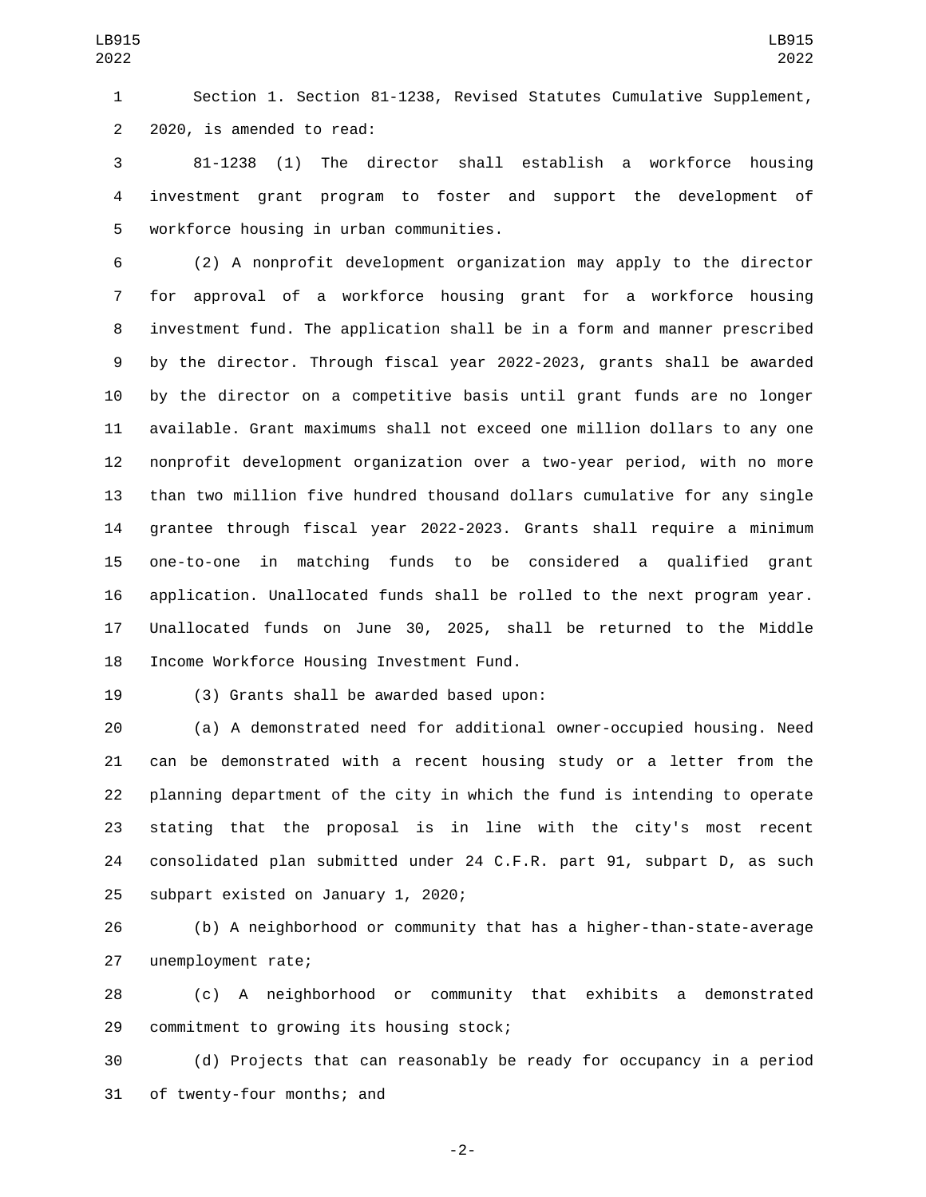Section 1. Section 81-1238, Revised Statutes Cumulative Supplement, 2 2020, is amended to read:

 81-1238 (1) The director shall establish a workforce housing investment grant program to foster and support the development of 5 workforce housing in urban communities.

 (2) A nonprofit development organization may apply to the director for approval of a workforce housing grant for a workforce housing investment fund. The application shall be in a form and manner prescribed by the director. Through fiscal year 2022-2023, grants shall be awarded by the director on a competitive basis until grant funds are no longer available. Grant maximums shall not exceed one million dollars to any one nonprofit development organization over a two-year period, with no more than two million five hundred thousand dollars cumulative for any single grantee through fiscal year 2022-2023. Grants shall require a minimum one-to-one in matching funds to be considered a qualified grant application. Unallocated funds shall be rolled to the next program year. Unallocated funds on June 30, 2025, shall be returned to the Middle 18 Income Workforce Housing Investment Fund.

19 (3) Grants shall be awarded based upon:

 (a) A demonstrated need for additional owner-occupied housing. Need can be demonstrated with a recent housing study or a letter from the planning department of the city in which the fund is intending to operate stating that the proposal is in line with the city's most recent consolidated plan submitted under 24 C.F.R. part 91, subpart D, as such 25 subpart existed on January 1, 2020;

 (b) A neighborhood or community that has a higher-than-state-average 27 unemployment rate;

 (c) A neighborhood or community that exhibits a demonstrated 29 commitment to growing its housing stock;

 (d) Projects that can reasonably be ready for occupancy in a period 31 of twenty-four months; and

-2-